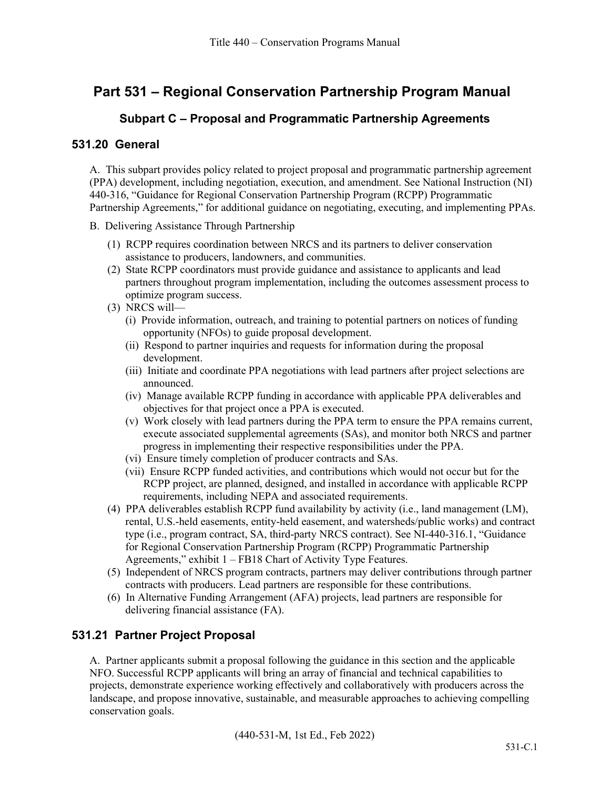# **Part 531 – Regional Conservation Partnership Program Manual**

### **Subpart C – Proposal and Programmatic Partnership Agreements**

#### **531.20 General**

A. This subpart provides policy related to project proposal and programmatic partnership agreement (PPA) development, including negotiation, execution, and amendment. See National Instruction (NI) 440-316, "Guidance for Regional Conservation Partnership Program (RCPP) Programmatic Partnership Agreements," for additional guidance on negotiating, executing, and implementing PPAs.

- B. Delivering Assistance Through Partnership
	- (1) RCPP requires coordination between NRCS and its partners to deliver conservation assistance to producers, landowners, and communities.
	- (2) State RCPP coordinators must provide guidance and assistance to applicants and lead partners throughout program implementation, including the outcomes assessment process to optimize program success.
	- (3) NRCS will—
		- (i) Provide information, outreach, and training to potential partners on notices of funding opportunity (NFOs) to guide proposal development.
		- (ii) Respond to partner inquiries and requests for information during the proposal development.
		- (iii) Initiate and coordinate PPA negotiations with lead partners after project selections are announced.
		- (iv) Manage available RCPP funding in accordance with applicable PPA deliverables and objectives for that project once a PPA is executed.
		- (v) Work closely with lead partners during the PPA term to ensure the PPA remains current, execute associated supplemental agreements (SAs), and monitor both NRCS and partner progress in implementing their respective responsibilities under the PPA.
		- (vi) Ensure timely completion of producer contracts and SAs.
		- (vii) Ensure RCPP funded activities, and contributions which would not occur but for the RCPP project, are planned, designed, and installed in accordance with applicable RCPP requirements, including NEPA and associated requirements.
	- (4) PPA deliverables establish RCPP fund availability by activity (i.e., land management (LM), rental, U.S.-held easements, entity-held easement, and watersheds/public works) and contract type (i.e., program contract, SA, third-party NRCS contract). See NI-440-316.1, "Guidance for Regional Conservation Partnership Program (RCPP) Programmatic Partnership Agreements," exhibit 1 – FB18 Chart of Activity Type Features.
	- (5) Independent of NRCS program contracts, partners may deliver contributions through partner contracts with producers. Lead partners are responsible for these contributions.
	- (6) In Alternative Funding Arrangement (AFA) projects, lead partners are responsible for delivering financial assistance (FA).

# **531.21 Partner Project Proposal**

A. Partner applicants submit a proposal following the guidance in this section and the applicable NFO. Successful RCPP applicants will bring an array of financial and technical capabilities to projects, demonstrate experience working effectively and collaboratively with producers across the landscape, and propose innovative, sustainable, and measurable approaches to achieving compelling conservation goals.

(440-531-M, 1st Ed., Feb 2022)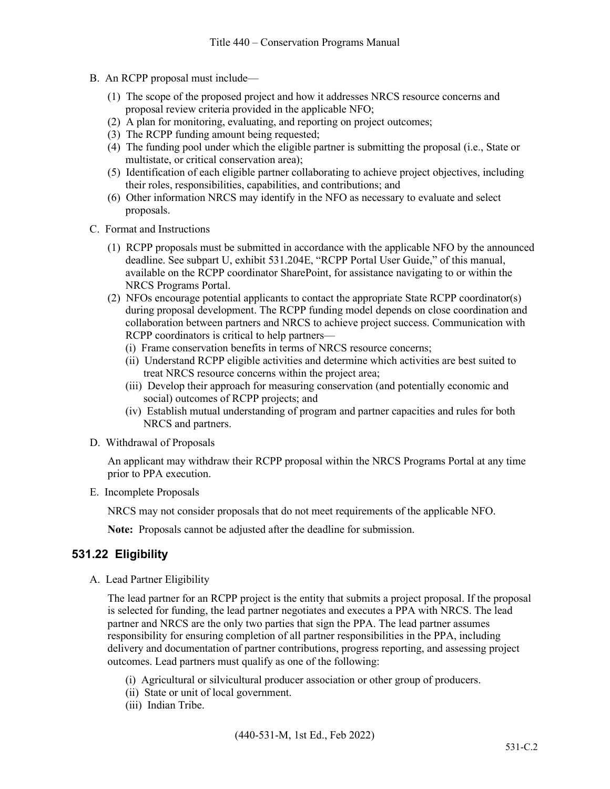- B. An RCPP proposal must include—
	- (1) The scope of the proposed project and how it addresses NRCS resource concerns and proposal review criteria provided in the applicable NFO;
	- (2) A plan for monitoring, evaluating, and reporting on project outcomes;
	- (3) The RCPP funding amount being requested;
	- (4) The funding pool under which the eligible partner is submitting the proposal (i.e., State or multistate, or critical conservation area);
	- (5) Identification of each eligible partner collaborating to achieve project objectives, including their roles, responsibilities, capabilities, and contributions; and
	- (6) Other information NRCS may identify in the NFO as necessary to evaluate and select proposals.
- C. Format and Instructions
	- (1) RCPP proposals must be submitted in accordance with the applicable NFO by the announced deadline. See subpart U, exhibit 531.204E, "RCPP Portal User Guide," of this manual, available on the RCPP coordinator SharePoint, for assistance navigating to or within the NRCS Programs Portal.
	- (2) NFOs encourage potential applicants to contact the appropriate State RCPP coordinator(s) during proposal development. The RCPP funding model depends on close coordination and collaboration between partners and NRCS to achieve project success. Communication with RCPP coordinators is critical to help partners—
		- (i) Frame conservation benefits in terms of NRCS resource concerns;
		- (ii) Understand RCPP eligible activities and determine which activities are best suited to treat NRCS resource concerns within the project area;
		- (iii) Develop their approach for measuring conservation (and potentially economic and social) outcomes of RCPP projects; and
		- (iv) Establish mutual understanding of program and partner capacities and rules for both NRCS and partners.
- D. Withdrawal of Proposals

An applicant may withdraw their RCPP proposal within the NRCS Programs Portal at any time prior to PPA execution.

E. Incomplete Proposals

NRCS may not consider proposals that do not meet requirements of the applicable NFO.

**Note:** Proposals cannot be adjusted after the deadline for submission.

#### **531.22 Eligibility**

A. Lead Partner Eligibility

The lead partner for an RCPP project is the entity that submits a project proposal. If the proposal is selected for funding, the lead partner negotiates and executes a PPA with NRCS. The lead partner and NRCS are the only two parties that sign the PPA. The lead partner assumes responsibility for ensuring completion of all partner responsibilities in the PPA, including delivery and documentation of partner contributions, progress reporting, and assessing project outcomes. Lead partners must qualify as one of the following:

- (i) Agricultural or silvicultural producer association or other group of producers.
- (ii) State or unit of local government.
- (iii) Indian Tribe.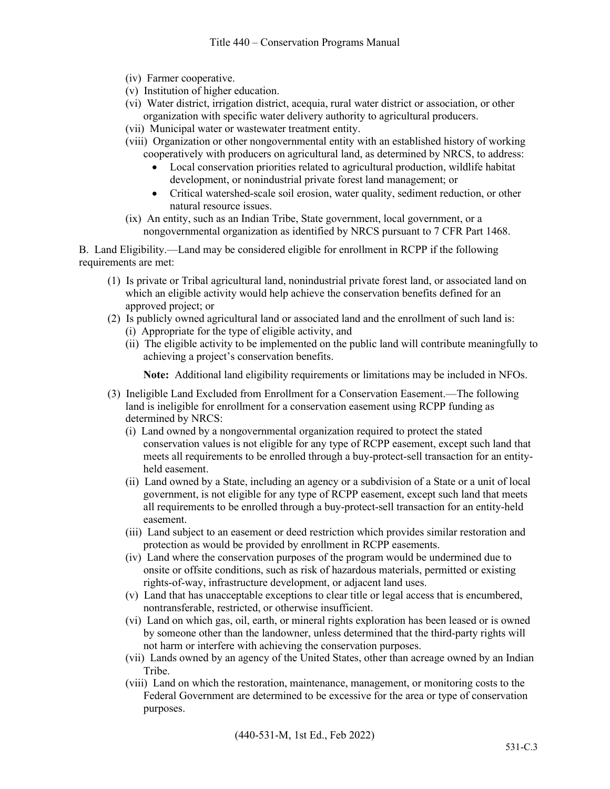- (iv) Farmer cooperative.
- (v) Institution of higher education.
- (vi) Water district, irrigation district, acequia, rural water district or association, or other organization with specific water delivery authority to agricultural producers.
- (vii) Municipal water or wastewater treatment entity.
- (viii) Organization or other nongovernmental entity with an established history of working cooperatively with producers on agricultural land, as determined by NRCS, to address:
	- Local conservation priorities related to agricultural production, wildlife habitat development, or nonindustrial private forest land management; or
	- Critical watershed-scale soil erosion, water quality, sediment reduction, or other natural resource issues.
- (ix) An entity, such as an Indian Tribe, State government, local government, or a nongovernmental organization as identified by NRCS pursuant to 7 CFR Part 1468.

B. Land Eligibility.—Land may be considered eligible for enrollment in RCPP if the following requirements are met:

- (1) Is private or Tribal agricultural land, nonindustrial private forest land, or associated land on which an eligible activity would help achieve the conservation benefits defined for an approved project; or
- (2) Is publicly owned agricultural land or associated land and the enrollment of such land is:
	- (i) Appropriate for the type of eligible activity, and
	- (ii) The eligible activity to be implemented on the public land will contribute meaningfully to achieving a project's conservation benefits.

**Note:** Additional land eligibility requirements or limitations may be included in NFOs.

- (3) Ineligible Land Excluded from Enrollment for a Conservation Easement.—The following land is ineligible for enrollment for a conservation easement using RCPP funding as determined by NRCS:
	- (i) Land owned by a nongovernmental organization required to protect the stated conservation values is not eligible for any type of RCPP easement, except such land that meets all requirements to be enrolled through a buy-protect-sell transaction for an entityheld easement.
	- (ii) Land owned by a State, including an agency or a subdivision of a State or a unit of local government, is not eligible for any type of RCPP easement, except such land that meets all requirements to be enrolled through a buy-protect-sell transaction for an entity-held easement.
	- (iii) Land subject to an easement or deed restriction which provides similar restoration and protection as would be provided by enrollment in RCPP easements.
	- (iv) Land where the conservation purposes of the program would be undermined due to onsite or offsite conditions, such as risk of hazardous materials, permitted or existing rights-of-way, infrastructure development, or adjacent land uses.
	- (v) Land that has unacceptable exceptions to clear title or legal access that is encumbered, nontransferable, restricted, or otherwise insufficient.
	- (vi) Land on which gas, oil, earth, or mineral rights exploration has been leased or is owned by someone other than the landowner, unless determined that the third-party rights will not harm or interfere with achieving the conservation purposes.
	- (vii) Lands owned by an agency of the United States, other than acreage owned by an Indian Tribe.
	- (viii) Land on which the restoration, maintenance, management, or monitoring costs to the Federal Government are determined to be excessive for the area or type of conservation purposes.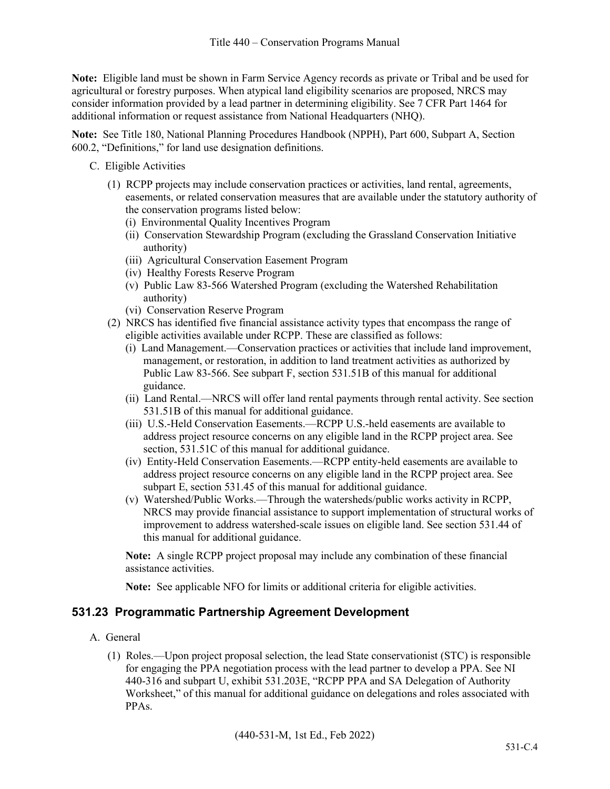**Note:** Eligible land must be shown in Farm Service Agency records as private or Tribal and be used for agricultural or forestry purposes. When atypical land eligibility scenarios are proposed, NRCS may consider information provided by a lead partner in determining eligibility. See 7 CFR Part 1464 for additional information or request assistance from National Headquarters (NHQ).

**Note:** See Title 180, National Planning Procedures Handbook (NPPH), Part 600, Subpart A, Section 600.2, "Definitions," for land use designation definitions.

- C. Eligible Activities
	- (1) RCPP projects may include conservation practices or activities, land rental, agreements, easements, or related conservation measures that are available under the statutory authority of the conservation programs listed below:
		- (i) Environmental Quality Incentives Program
		- (ii) Conservation Stewardship Program (excluding the Grassland Conservation Initiative authority)
		- (iii) Agricultural Conservation Easement Program
		- (iv) Healthy Forests Reserve Program
		- (v) Public Law 83-566 Watershed Program (excluding the Watershed Rehabilitation authority)
		- (vi) Conservation Reserve Program
	- (2) NRCS has identified five financial assistance activity types that encompass the range of eligible activities available under RCPP. These are classified as follows:
		- (i) Land Management.—Conservation practices or activities that include land improvement, management, or restoration, in addition to land treatment activities as authorized by Public Law 83-566. See subpart F, section 531.51B of this manual for additional guidance.
		- (ii) Land Rental.—NRCS will offer land rental payments through rental activity. See section 531.51B of this manual for additional guidance.
		- (iii) U.S.-Held Conservation Easements.—RCPP U.S.-held easements are available to address project resource concerns on any eligible land in the RCPP project area. See section, 531.51C of this manual for additional guidance.
		- (iv) Entity-Held Conservation Easements.—RCPP entity-held easements are available to address project resource concerns on any eligible land in the RCPP project area. See subpart E, section 531.45 of this manual for additional guidance.
		- (v) Watershed/Public Works.—Through the watersheds/public works activity in RCPP, NRCS may provide financial assistance to support implementation of structural works of improvement to address watershed-scale issues on eligible land. See section 531.44 of this manual for additional guidance.

**Note:** A single RCPP project proposal may include any combination of these financial assistance activities.

**Note:** See applicable NFO for limits or additional criteria for eligible activities.

#### **531.23 Programmatic Partnership Agreement Development**

- A. General
	- (1) Roles.—Upon project proposal selection, the lead State conservationist (STC) is responsible for engaging the PPA negotiation process with the lead partner to develop a PPA. See NI 440-316 and subpart U, exhibit 531.203E, "RCPP PPA and SA Delegation of Authority Worksheet," of this manual for additional guidance on delegations and roles associated with PPAs.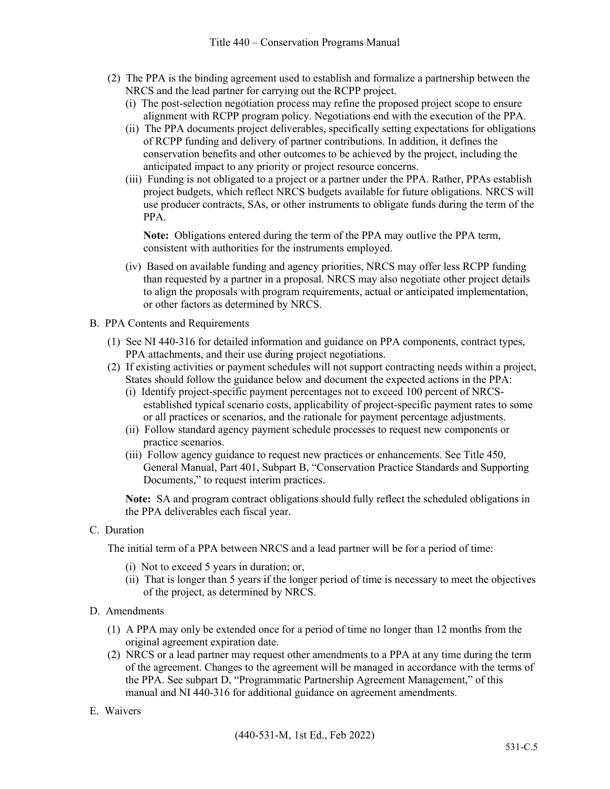- (2) The PPA is the binding agreement used to establish and formalize a partnership between the NRCS and the lead partner for carrying out the RCPP project.
	- (i) The post-selection negotiation process may refine the proposed project scope to ensure alignment with RCPP program policy. Negotiations end with the execution of the PPA.
	- (ii) The PPA documents project deliverables, specifically setting expectations for obligations of RCPP funding and delivery of partner contributions. In addition, it defines the conservation benefits and other outcomes to be achieved by the project, including the anticipated impact to any priority or project resource concerns.
	- (iii) Funding is not obligated to a project or a partner under the PPA. Rather, PPAs establish project budgets, which reflect NRCS budgets available for future obligations. NRCS will use producer contracts, SAs, or other instruments to obligate funds during the term of the PPA.

**Note:** Obligations entered during the term of the PPA may outlive the PPA term, consistent with authorities for the instruments employed.

- (iv) Based on available funding and agency priorities, NRCS may offer less RCPP funding than requested by a partner in a proposal. NRCS may also negotiate other project details to align the proposals with program requirements, actual or anticipated implementation, or other factors as determined by NRCS.
- B. PPA Contents and Requirements
	- (1) See NI 440-316 for detailed information and guidance on PPA components, contract types, PPA attachments, and their use during project negotiations.
	- (2) If existing activities or payment schedules will not support contracting needs within a project, States should follow the guidance below and document the expected actions in the PPA:
		- (i) Identify project-specific payment percentages not to exceed 100 percent of NRCSestablished typical scenario costs, applicability of project-specific payment rates to some or all practices or scenarios, and the rationale for payment percentage adjustments.
		- (ii) Follow standard agency payment schedule processes to request new components or practice scenarios.
		- (iii) Follow agency guidance to request new practices or enhancements. See Title 450, General Manual, Part 401, Subpart B, "Conservation Practice Standards and Supporting Documents," to request interim practices.

**Note:** SA and program contract obligations should fully reflect the scheduled obligations in the PPA deliverables each fiscal year.

C. Duration

The initial term of a PPA between NRCS and a lead partner will be for a period of time:

- (i) Not to exceed 5 years in duration; or,
- (ii) That is longer than 5 years if the longer period of time is necessary to meet the objectives of the project, as determined by NRCS.
- D. Amendments
	- (1) A PPA may only be extended once for a period of time no longer than 12 months from the original agreement expiration date.
	- (2) NRCS or a lead partner may request other amendments to a PPA at any time during the term of the agreement. Changes to the agreement will be managed in accordance with the terms of the PPA. See subpart D, "Programmatic Partnership Agreement Management," of this manual and NI 440-316 for additional guidance on agreement amendments.

#### E. Waivers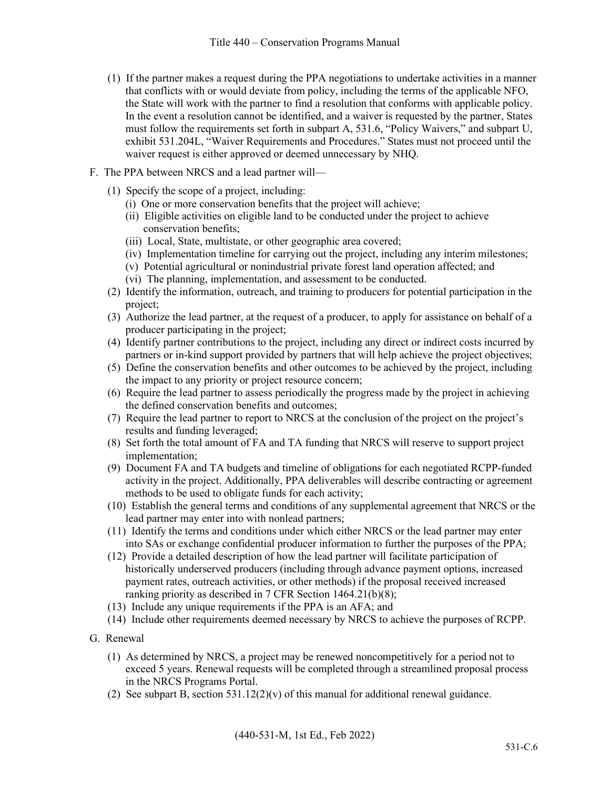- (1) If the partner makes a request during the PPA negotiations to undertake activities in a manner that conflicts with or would deviate from policy, including the terms of the applicable NFO, the State will work with the partner to find a resolution that conforms with applicable policy. In the event a resolution cannot be identified, and a waiver is requested by the partner, States must follow the requirements set forth in subpart A, 531.6, "Policy Waivers," and subpart U, exhibit 531.204L, "Waiver Requirements and Procedures." States must not proceed until the waiver request is either approved or deemed unnecessary by NHQ.
- F. The PPA between NRCS and a lead partner will—
	- (1) Specify the scope of a project, including:
		- (i) One or more conservation benefits that the project will achieve;
		- (ii) Eligible activities on eligible land to be conducted under the project to achieve conservation benefits;
		- (iii) Local, State, multistate, or other geographic area covered;
		- (iv) Implementation timeline for carrying out the project, including any interim milestones;
		- (v) Potential agricultural or nonindustrial private forest land operation affected; and
		- (vi) The planning, implementation, and assessment to be conducted.
	- (2) Identify the information, outreach, and training to producers for potential participation in the project;
	- (3) Authorize the lead partner, at the request of a producer, to apply for assistance on behalf of a producer participating in the project;
	- (4) Identify partner contributions to the project, including any direct or indirect costs incurred by partners or in-kind support provided by partners that will help achieve the project objectives;
	- (5) Define the conservation benefits and other outcomes to be achieved by the project, including the impact to any priority or project resource concern;
	- (6) Require the lead partner to assess periodically the progress made by the project in achieving the defined conservation benefits and outcomes;
	- (7) Require the lead partner to report to NRCS at the conclusion of the project on the project's results and funding leveraged;
	- (8) Set forth the total amount of FA and TA funding that NRCS will reserve to support project implementation;
	- (9) Document FA and TA budgets and timeline of obligations for each negotiated RCPP-funded activity in the project. Additionally, PPA deliverables will describe contracting or agreement methods to be used to obligate funds for each activity;
	- (10) Establish the general terms and conditions of any supplemental agreement that NRCS or the lead partner may enter into with nonlead partners;
	- (11) Identify the terms and conditions under which either NRCS or the lead partner may enter into SAs or exchange confidential producer information to further the purposes of the PPA;
	- (12) Provide a detailed description of how the lead partner will facilitate participation of historically underserved producers (including through advance payment options, increased payment rates, outreach activities, or other methods) if the proposal received increased ranking priority as described in 7 CFR Section 1464.21(b)(8);
	- (13) Include any unique requirements if the PPA is an AFA; and
	- (14) Include other requirements deemed necessary by NRCS to achieve the purposes of RCPP.
- G. Renewal
	- (1) As determined by NRCS, a project may be renewed noncompetitively for a period not to exceed 5 years. Renewal requests will be completed through a streamlined proposal process in the NRCS Programs Portal.
	- (2) See subpart B, section  $531.12(2)(v)$  of this manual for additional renewal guidance.